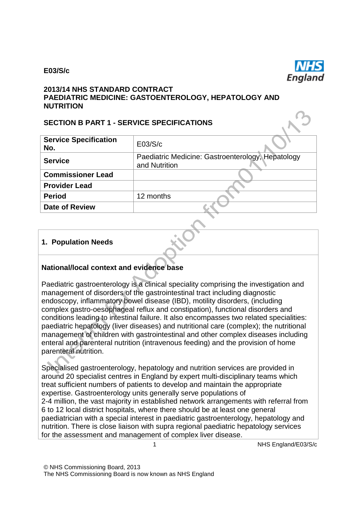#### **E03/S/c**



#### **2013/14 NHS STANDARD CONTRACT PAEDIATRIC MEDICINE: GASTOENTEROLOGY, HEPATOLOGY AND NUTRITION**

#### **SECTION B PART 1 - SERVICE SPECIFICATIONS**

| <b>Service Specification</b><br>No. | E03/S/c                                                            |
|-------------------------------------|--------------------------------------------------------------------|
| <b>Service</b>                      | Paediatric Medicine: Gastroenterology, Hepatology<br>and Nutrition |
| <b>Commissioner Lead</b>            |                                                                    |
| <b>Provider Lead</b>                |                                                                    |
| <b>Period</b>                       | 12 months                                                          |
| <b>Date of Review</b>               |                                                                    |
|                                     |                                                                    |

#### **1. Population Needs**

#### **National/local context and evidence base**

Paediatric gastroenterology is a clinical speciality comprising the investigation and management of disorders of the gastrointestinal tract including diagnostic endoscopy, inflammatory bowel disease (IBD), motility disorders, (including complex gastro-oesophageal reflux and constipation), functional disorders and conditions leading to intestinal failure. It also encompasses two related specialities: paediatric hepatology (liver diseases) and nutritional care (complex); the nutritional management of children with gastrointestinal and other complex diseases including enteral and parenteral nutrition (intravenous feeding) and the provision of home parenteral nutrition.

Specialised gastroenterology, hepatology and nutrition services are provided in around 20 specialist centres in England by expert multi-disciplinary teams which treat sufficient numbers of patients to develop and maintain the appropriate expertise. Gastroenterology units generally serve populations of 2-4 million, the vast majority in established network arrangements with referral from 6 to 12 local district hospitals, where there should be at least one general paediatrician with a special interest in paediatric gastroenterology, hepatology and nutrition. There is close liaison with supra regional paediatric hepatology services for the assessment and management of complex liver disease.

1 NHS England/E03/S/c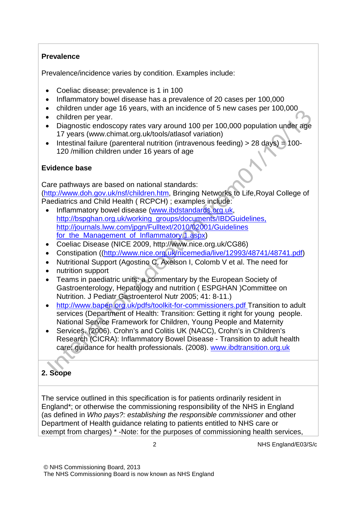#### **Prevalence**

Prevalence/incidence varies by condition. Examples include:

- Coeliac disease; prevalence is 1 in 100
- Inflammatory bowel disease has a prevalence of 20 cases per 100,000
- children under age 16 years, with an incidence of 5 new cases per 100,000
- children per year.
- Diagnostic endoscopy rates vary around 100 per 100,000 population under age 17 years [\(www.chimat.org.uk/tools/atlasof v](http://www.chimat.org.uk/tools/atlasof)ariation)
- Intestinal failure (parenteral nutrition (intravenous feeding) > 28 days) = 100- 120 /million children under 16 years of age

# **Evidence base**

Care pathways are based on national standards: [\(http://www.doh.gov.uk/nsf/children.htm](http://www.doh.gov.uk/nsf/children.htm), Bringing Networks to Life,Royal College of Paediatrics and Child Health ( RCPCH) ; examples include:

- Inflammatory bowel disease [\(www.ibdstandards.org.uk,](http://www.ibdstandards.org.uk/) [http://bspghan.org.uk/working\\_groups/documents/IBDGuidelines,](http://bspghan.org.uk/working_groups/documents/IBDGuidelines) <http://journals.lww.com/jpgn/Fulltext/2010/02001/Guidelines> for\_the\_Management\_of\_Inflammatory.1.aspx )
- Coeliac Disease (NICE 2009, [http://www.nice.org.uk/CG86\)](http://www.nice.org.uk/CG86))
- Constipation ([\(http://www.nice.org.uk/nicemedia/live/12993/48741/48741.pdf\)](http://www.nice.org.uk/nicemedia/live/12993/48741/48741.pdf))
- Nutritional Support (Agostino C, Axelson I, Colomb V et al. The need for
- nutrition support
- Teams in paediatric units: a commentary by the European Society of Gastroenterology, Hepatology and nutrition ( ESPGHAN )Committee on Nutrition. J Pediatr Gastroenterol Nutr 2005; 41: 8-11.)
- [http://www.bapen.org.uk/pdfs/toolkit-for-commissioners.pdf T](http://www.bapen.org.uk/pdfs/toolkit-for-commissioners.pdf)ransition to adult services (Department of Health: Transition: Getting it right for young people. National Service Framework for Children, Young People and Maternity
- Services. (2006). Crohn's and Colitis UK (NACC), Crohn's in Children's Research (CICRA): Inflammatory Bowel Disease - Transition to adult health care: guidance for health professionals. (2008). [www.ibdtransition.org.uk](http://www.ibdtransition.org.uk/)

# **2. Scope**

The service outlined in this specification is for patients ordinarily resident in England\*; or otherwise the commissioning responsibility of the NHS in England (as defined in *Who pays?: establishing the responsible commissioner* and other Department of Health guidance relating to patients entitled to NHS care or exempt from charges) \* -Note: for the purposes of commissioning health services,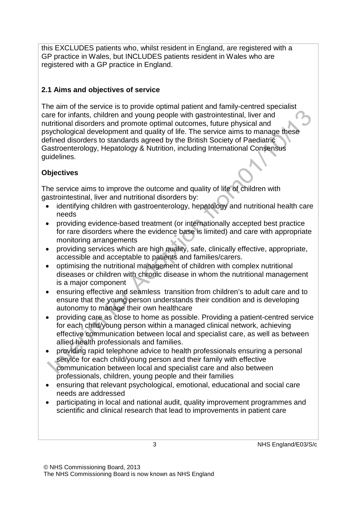this EXCLUDES patients who, whilst resident in England, are registered with a GP practice in Wales, but INCLUDES patients resident in Wales who are registered with a GP practice in England.

# **2.1 Aims and objectives of service**

The aim of the service is to provide optimal patient and family-centred specialist care for infants, children and young people with gastrointestinal, liver and nutritional disorders and promote optimal outcomes, future physical and psychological development and quality of life. The service aims to manage these defined disorders to standards agreed by the British Society of Paediatric Gastroenterology, Hepatology & Nutrition, including International Consensus guidelines.

# **Objectives**

The service aims to improve the outcome and quality of life of children with gastrointestinal, liver and nutritional disorders by:

- identifying children with gastroenterology, hepatology and nutritional health care needs
- providing evidence-based treatment (or internationally accepted best practice for rare disorders where the evidence base is limited) and care with appropriate monitoring arrangements
- providing services which are high quality, safe, clinically effective, appropriate, accessible and acceptable to patients and families/carers.
- optimising the nutritional management of children with complex nutritional diseases or children with chronic disease in whom the nutritional management is a major component
- ensuring effective and seamless transition from children's to adult care and to ensure that the young person understands their condition and is developing autonomy to manage their own healthcare
- providing care as close to home as possible. Providing a patient-centred service for each child/young person within a managed clinical network, achieving effective communication between local and specialist care, as well as between allied health professionals and families.
- providing rapid telephone advice to health professionals ensuring a personal service for each child/young person and their family with effective communication between local and specialist care and also between professionals, children, young people and their families
- ensuring that relevant psychological, emotional, educational and social care needs are addressed
- participating in local and national audit, quality improvement programmes and scientific and clinical research that lead to improvements in patient care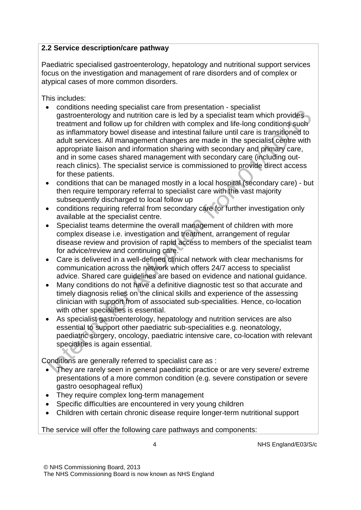#### **2.2 Service description/care pathway**

Paediatric specialised gastroenterology, hepatology and nutritional support services focus on the investigation and management of rare disorders and of complex or atypical cases of more common disorders.

This includes:

- conditions needing specialist care from presentation specialist gastroenterology and nutrition care is led by a specialist team which provides treatment and follow up for children with complex and life-long conditions such as inflammatory bowel disease and intestinal failure until care is transitioned to adult services. All management changes are made in the specialist centre with appropriate liaison and information sharing with secondary and primary care, and in some cases shared management with secondary care (including outreach clinics). The specialist service is commissioned to provide direct access for these patients.
- conditions that can be managed mostly in a local hospital (secondary care) but then require temporary referral to specialist care with the vast majority subsequently discharged to local follow up
- conditions requiring referral from secondary care for further investigation only available at the specialist centre.
- Specialist teams determine the overall management of children with more complex disease i.e. investigation and treatment, arrangement of regular disease review and provision of rapid access to members of the specialist team for advice/review and continuing care.
- Care is delivered in a well-defined clinical network with clear mechanisms for communication across the network which offers 24/7 access to specialist advice. Shared care guidelines are based on evidence and national guidance.
- Many conditions do not have a definitive diagnostic test so that accurate and timely diagnosis relies on the clinical skills and experience of the assessing clinician with support from of associated sub-specialities. Hence, co-location with other specialities is essential.
- As specialist gastroenterology, hepatology and nutrition services are also essential to support other paediatric sub-specialities e.g. neonatology, paediatric surgery, oncology, paediatric intensive care, co-location with relevant specialities is again essential.

Conditions are generally referred to specialist care as :

- They are rarely seen in general paediatric practice or are very severe/ extreme presentations of a more common condition (e.g. severe constipation or severe gastro oesophageal reflux)
- They require complex long-term management
- Specific difficulties are encountered in very young children
- Children with certain chronic disease require longer-term nutritional support

The service will offer the following care pathways and components:

4 NHS England/E03/S/c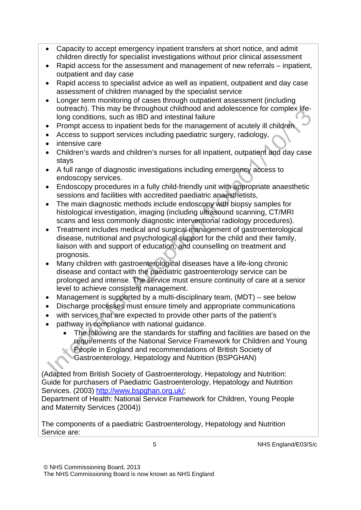- Capacity to accept emergency inpatient transfers at short notice, and admit children directly for specialist investigations without prior clinical assessment
- Rapid access for the assessment and management of new referrals inpatient, outpatient and day case
- Rapid access to specialist advice as well as inpatient, outpatient and day case assessment of children managed by the specialist service
- Longer term monitoring of cases through outpatient assessment (including outreach). This may be throughout childhood and adolescence for complex lifelong conditions, such as IBD and intestinal failure
- Prompt access to inpatient beds for the management of acutely ill children
- Access to support services including paediatric surgery, radiology,
- intensive care
- Children's wards and children's nurses for all inpatient, outpatient and day case stays
- A full range of diagnostic investigations including emergency access to endoscopy services.
- Endoscopy procedures in a fully child-friendly unit with appropriate anaesthetic sessions and facilities with accredited paediatric anaesthetists,
- The main diagnostic methods include endoscopy with biopsy samples for histological investigation, imaging (including ultrasound scanning, CT/MRI scans and less commonly diagnostic interventional radiology procedures).
- Treatment includes medical and surgical management of gastroenterological disease, nutritional and psychological support for the child and their family, liaison with and support of education, and counselling on treatment and prognosis.
- Many children with gastroenterological diseases have a life-long chronic disease and contact with the paediatric gastroenterology service can be prolonged and intense. The service must ensure continuity of care at a senior level to achieve consistent management.
- Management is supported by a multi-disciplinary team, (MDT) see below
- Discharge processes must ensure timely and appropriate communications
- with services that are expected to provide other parts of the patient's
- pathway in compliance with national guidance.
	- The following are the standards for staffing and facilities are based on the requirements of the National Service Framework for Children and Young People in England and recommendations of British Society of
		- Gastroenterology, Hepatology and Nutrition (BSPGHAN)

(Adapted from British Society of Gastroenterology, Hepatology and Nutrition: Guide for purchasers of Paediatric Gastroenterology, Hepatology and Nutrition Services. (2003) http://www.bspghan.org.uk/:

Department of Health: National Service Framework for Children, Young People and Maternity Services (2004))

The components of a paediatric Gastroenterology, Hepatology and Nutrition Service are: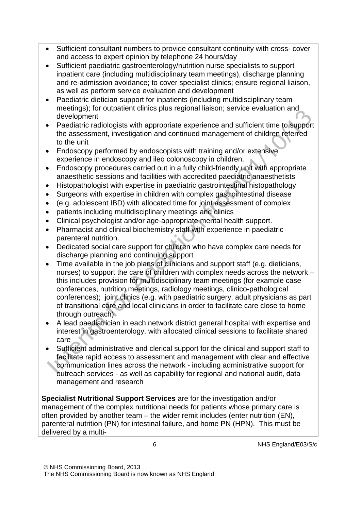- Sufficient consultant numbers to provide consultant continuity with cross- cover and access to expert opinion by telephone 24 hours/day
- Sufficient paediatric gastroenterology/nutrition nurse specialists to support inpatient care (including multidisciplinary team meetings), discharge planning and re-admission avoidance; to cover specialist clinics; ensure regional liaison, as well as perform service evaluation and development
- Paediatric dietician support for inpatients (including multidisciplinary team meetings); for outpatient clinics plus regional liaison; service evaluation and development
- Paediatric radiologists with appropriate experience and sufficient time to support the assessment, investigation and continued management of children referred to the unit
- Endoscopy performed by endoscopists with training and/or extensive experience in endoscopy and ileo colonoscopy in children.
- Endoscopy procedures carried out in a fully child-friendly unit with appropriate anaesthetic sessions and facilities with accredited paediatric anaesthetists
- Histopathologist with expertise in paediatric gastrointestinal histopathology
- Surgeons with expertise in children with complex gastrointestinal disease
- (e.g. adolescent IBD) with allocated time for joint assessment of complex
- patients including multidisciplinary meetings and clinics
- Clinical psychologist and/or age-appropriate mental health support.
- Pharmacist and clinical biochemistry staff with experience in paediatric parenteral nutrition.
- Dedicated social care support for children who have complex care needs for discharge planning and continuing support
- Time available in the job plans of clinicians and support staff (e.g. dieticians, nurses) to support the care of children with complex needs across the network – this includes provision for multidisciplinary team meetings (for example case conferences, nutrition meetings, radiology meetings, clinico-pathological conferences); joint clinics (e.g. with paediatric surgery, adult physicians as part of transitional care and local clinicians in order to facilitate care close to home through outreach)
- A lead paediatrician in each network district general hospital with expertise and interest in gastroenterology, with allocated clinical sessions to facilitate shared care
- Sufficient administrative and clerical support for the clinical and support staff to facilitate rapid access to assessment and management with clear and effective communication lines across the network - including administrative support for outreach services - as well as capability for regional and national audit, data management and research

**Specialist Nutritional Support Services** are for the investigation and/or management of the complex nutritional needs for patients whose primary care is often provided by another team – the wider remit includes (enter nutrition (EN), parenteral nutrition (PN) for intestinal failure, and home PN (HPN). This must be delivered by a multi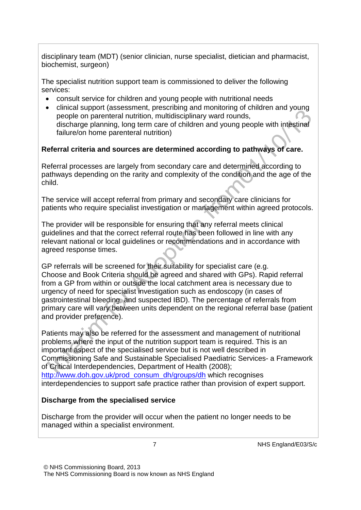disciplinary team (MDT) (senior clinician, nurse specialist, dietician and pharmacist, biochemist, surgeon)

The specialist nutrition support team is commissioned to deliver the following services:

- consult service for children and young people with nutritional needs
- clinical support (assessment, prescribing and monitoring of children and young people on parenteral nutrition, multidisciplinary ward rounds, discharge planning, long term care of children and young people with intestinal failure/on home parenteral nutrition)

#### **Referral criteria and sources are determined according to pathways of care.**

Referral processes are largely from secondary care and determined according to pathways depending on the rarity and complexity of the condition and the age of the child.

The service will accept referral from primary and secondary care clinicians for patients who require specialist investigation or management within agreed protocols.

The provider will be responsible for ensuring that any referral meets clinical guidelines and that the correct referral route has been followed in line with any relevant national or local guidelines or recommendations and in accordance with agreed response times.

GP referrals will be screened for their suitability for specialist care (e.g. Choose and Book Criteria should be agreed and shared with GPs). Rapid referral from a GP from within or outside the local catchment area is necessary due to urgency of need for specialist investigation such as endoscopy (in cases of gastrointestinal bleeding, and suspected IBD). The percentage of referrals from primary care will vary between units dependent on the regional referral base (patient and provider preference).

Patients may also be referred for the assessment and management of nutritional problems where the input of the nutrition support team is required. This is an important aspect of the specialised service but is not well described in Commissioning Safe and Sustainable Specialised Paediatric Services- a Framework of Critical Interdependencies, Department of Health (2008)[;](http://www.doh.gov.uk/prod_consum_dh/groups/dh) [http://www.doh.gov.uk/prod\\_consum\\_dh/groups/dh](http://www.doh.gov.uk/prod_consum_dh/groups/dh) which recognises interdependencies to support safe practice rather than provision of expert support.

# **Discharge from the specialised service**

Discharge from the provider will occur when the patient no longer needs to be managed within a specialist environment.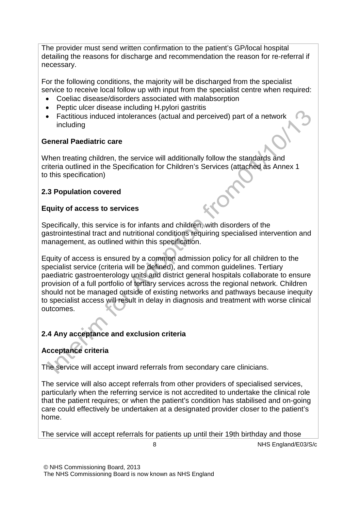The provider must send written confirmation to the patient's GP/local hospital detailing the reasons for discharge and recommendation the reason for re-referral if necessary.

For the following conditions, the majority will be discharged from the specialist service to receive local follow up with input from the specialist centre when required:

- Coeliac disease/disorders associated with malabsorption
- Peptic ulcer disease including H.pylori gastritis
- Factitious induced intolerances (actual and perceived) part of a network including

# **General Paediatric care**

When treating children, the service will additionally follow the standards and criteria outlined in the Specification for Children's Services (attached as Annex 1 to this specification)

# **2.3 Population covered**

# **Equity of access to services**

Specifically, this service is for infants and children, with disorders of the gastrointestinal tract and nutritional conditions requiring specialised intervention and management, as outlined within this specification.

Equity of access is ensured by a common admission policy for all children to the specialist service (criteria will be defined), and common guidelines. Tertiary paediatric gastroenterology units and district general hospitals collaborate to ensure provision of a full portfolio of tertiary services across the regional network. Children should not be managed outside of existing networks and pathways because inequity to specialist access will result in delay in diagnosis and treatment with worse clinical outcomes.

# **2.4 Any acceptance and exclusion criteria**

# **Acceptance criteria**

The service will accept inward referrals from secondary care clinicians.

The service will also accept referrals from other providers of specialised services, particularly when the referring service is not accredited to undertake the clinical role that the patient requires; or when the patient's condition has stabilised and on-going care could effectively be undertaken at a designated provider closer to the patient's home.

The service will accept referrals for patients up until their 19th birthday and those

8 NHS England/E03/S/c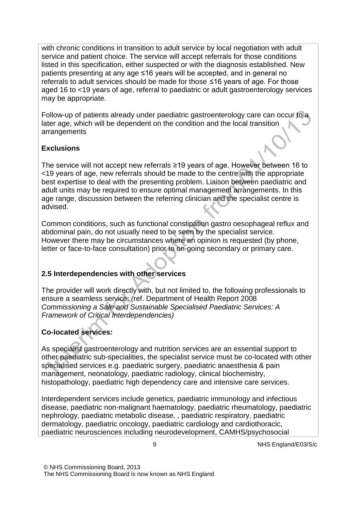with chronic conditions in transition to adult service by local negotiation with adult service and patient choice. The service will accept referrals for those conditions listed in this specification, either suspected or with the diagnosis established. New patients presenting at any age ≤16 years will be accepted, and in general no referrals to adult services should be made for those ≤16 years of age. For those aged 16 to <19 years of age, referral to paediatric or adult gastroenterology services may be appropriate.

Follow-up of patients already under paediatric gastroenterology care can occur to a later age, which will be dependent on the condition and the local transition arrangements

# **Exclusions**

The service will not accept new referrals ≥19 years of age. However between 16 to <19 years of age, new referrals should be made to the centre with the appropriate best expertise to deal with the presenting problem. Liaison between paediatric and adult units may be required to ensure optimal management arrangements. In this age range, discussion between the referring clinician and the specialist centre is advised.

Common conditions, such as functional constipation gastro oesophageal reflux and abdominal pain, do not usually need to be seen by the specialist service. However there may be circumstances where an opinion is requested (by phone, letter or face-to-face consultation) prior to on-going secondary or primary care.

# **2.5 Interdependencies with other services**

The provider will work directly with, but not limited to, the following professionals to ensure a seamless service: *(*ref. Department of Health Report 2008 *Commissioning a Safe and Sustainable Specialised Paediatric Services: A Framework of Critical Interdependencies)*

# **Co-located services:**

As specialist gastroenterology and nutrition services are an essential support to other paediatric sub-specialities, the specialist service must be co-located with other specialised services e.g. paediatric surgery, paediatric anaesthesia & pain management, neonatology, paediatric radiology, clinical biochemistry, histopathology, paediatric high dependency care and intensive care services.

Interdependent services include genetics, paediatric immunology and infectious disease, paediatric non-malignant haematology, paediatric rheumatology, paediatric nephrology, paediatric metabolic disease, , paediatric respiratory, paediatric dermatology, paediatric oncology, paediatric cardiology and cardiothoracic, paediatric neurosciences including neurodevelopment, CAMHS/psychosocial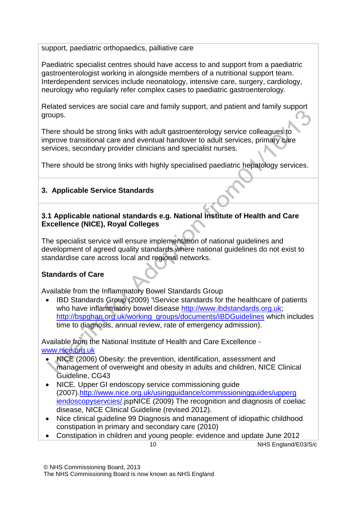support, paediatric orthopaedics, palliative care

Paediatric specialist centres should have access to and support from a paediatric gastroenterologist working in alongside members of a nutritional support team. Interdependent services include neonatology, intensive care, surgery, cardiology, neurology who regularly refer complex cases to paediatric gastroenterology.

Related services are social care and family support, and patient and family support groups.

There should be strong links with adult gastroenterology service colleagues to improve transitional care and eventual handover to adult services, primary care services, secondary provider clinicians and specialist nurses.

There should be strong links with highly specialised paediatric hepatology services.

# **3. Applicable Service Standards**

#### **3.1 Applicable national standards e.g. National Institute of Health and Care Excellence (NICE), Royal Colleges**

The specialist service will ensure implementation of national guidelines and development of agreed quality standards where national guidelines do not exist to standardise care across local and regional networks.

# **Standards of Care**

Available from the Inflammatory Bowel Standards Group

• IBD Standards Group (2009) '\Service standards for the healthcare of patients who have inflammatory bowel disease [http://www.ibdstandards.org.uk;](http://www.ibdstandards.org.uk/) [http://bspghan.org.uk/working\\_groups/documents/IBDGuidelines](http://bspghan.org.uk/working_groups/documents/IBDGuidelines) which includes time to diagnosis, annual review, rate of emergency admission).

Available from the National Institute of Health and Care Excellence  [www.nice.org.uk](http://www.nice.org.uk/)

- NICE (2006) Obesity: the prevention, identification, assessment and management of overweight and obesity in adults and children, NICE Clinical Guideline, CG43
- NICE. Upper GI endoscopy service commissioning guide (2007)[.http://www.nice.org.uk/usingguidance/commissioningguides/upperg](http://www.nice.org.uk/usingguidance/commissioningguides/upperg) iendoscopyservcies/.jspNICE (2009) The recognition and diagnosis of coeliac disease, NICE Clinical Guideline (revised 2012).
- Nice clinical guideline 99 Diagnosis and management of idiopathic childhood constipation in primary and secondary care (2010)
- Constipation in children and young people: evidence and update June 2012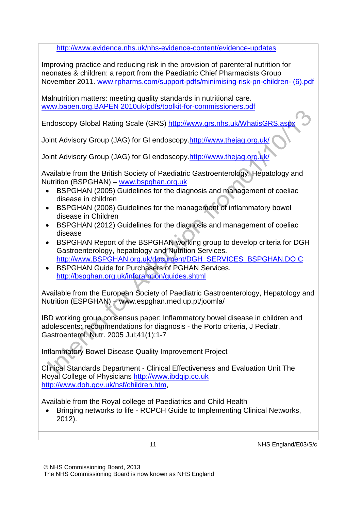<http://www.evidence.nhs.uk/nhs-evidence-content/evidence-updates>

Improving practice and reducing risk in the provision of parenteral nutrition for neonates & children: a report from the Paediatric Chief Pharmacists Group November 201[1. www.rpharms.com/support-pdfs/minimising-risk-pn-children-](http://www.rpharms.com/support-pdfs/minimising-risk-pn-children-(6).pdf) [\(6\).pdf](http://www.rpharms.com/support-pdfs/minimising-risk-pn-children-(6).pdf)

Malnutrition matters: meeting quality standards in nutritional care. [www.bapen.org.BAPEN 2](http://www.bapen.org.bapen/)010uk/pdfs/toolkit-for-commissioners.pdf

Endoscopy Global Rating Scale (GRS) <http://www.grs.nhs.uk/WhatisGRS.aspx>

Joint Advisory Group (JAG) for GI endoscop[y.http://www.thejag.org.uk/](http://www.thejag.org.uk/)

Joint Advisory Group (JAG) for GI endoscop[y.http://www.thejag.org.uk/](http://www.thejag.org.uk/)

Available from the British Society of Paediatric Gastroenterology, Hepatology and Nutrition (BSPGHAN) – [www.bspghan.org.uk](http://www.bspghan.org.uk/)

- BSPGHAN (2005) Guidelines for the diagnosis and management of coeliac disease in children
- BSPGHAN (2008) Guidelines for the management of inflammatory bowel disease in Children
- BSPGHAN (2012) Guidelines for the diagnosis and management of coeliac disease
- BSPGHAN Report of the BSPGHAN working group t[o develop criteria for DGH](http://www.bspghan.org.uk/document/DGH_SERVICES_BSPGHAN.DOC)  Gastroenterology, hepatology and Nutrition Services. [http://www.BSPGHAN.org.uk/document/DGH\\_SERVICES\\_BSPGHAN.DO](http://www.bspghan.org.uk/document/DGH_SERVICES_BSPGHAN.DOC) [C](http://www.bspghan.org.uk/document/DGH_SERVICES_BSPGHAN.DOC)
- BSPGHAN Guide for Purchasers of PGHAN Services[.](http://bspghan.org.uk/inforamtion/guides.shtml) <http://bspghan.org.uk/inforamtion/guides.shtml>

Available from the European Society of Paediatric Gastroenterology, Hepatology and Nutrition (ESPGHAN) – [www.espghan.med.up.pt/joomla/](http://www.espghan.med.up.pt/joomla/)

IBD working group consensus paper: Inflammatory bowel disease in children and adolescents: recommendations for diagnosis - the Porto criteria, J Pediatr. Gastroenterol. Nutr. 2005 Jul;41(1):1-7

Inflammatory Bowel Disease Quality Improvement Project

Clinical Standards Department - Clinical Effectiveness and Evaluation Unit The Royal College of Physicians [http://www.ibdqip.co.uk](http://www.ibdqip.co.uk/) [http://www.doh.gov.uk/nsf/children.htm,](http://www.doh.gov.uk/nsf/children.htm)

Available from the Royal college of Paediatrics and Child Health

• Bringing networks to life - RCPCH Guide to Implementing Clinical Networks, 2012).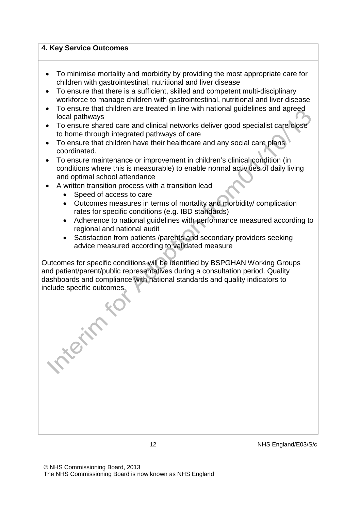#### **4. Key Service Outcomes**

- To minimise mortality and morbidity by providing the most appropriate care for children with gastrointestinal, nutritional and liver disease
- To ensure that there is a sufficient, skilled and competent multi-disciplinary workforce to manage children with gastrointestinal, nutritional and liver disease
- To ensure that children are treated in line with national guidelines and agreed local pathways
- To ensure shared care and clinical networks deliver good specialist care close to home through integrated pathways of care
- To ensure that children have their healthcare and any social care plans coordinated.
- To ensure maintenance or improvement in children's clinical condition (in conditions where this is measurable) to enable normal activities of daily living and optimal school attendance
- A written transition process with a transition lead
	- Speed of access to care

Treat to

- Outcomes measures in terms of mortality and morbidity/ complication rates for specific conditions (e.g. IBD standards)
- Adherence to national guidelines with performance measured according to regional and national audit
- Satisfaction from patients /parents and secondary providers seeking advice measured according to validated measure

Outcomes for specific conditions will be identified by BSPGHAN Working Groups and patient/parent/public representatives during a consultation period. Quality dashboards and compliance with national standards and quality indicators to include specific outcomes.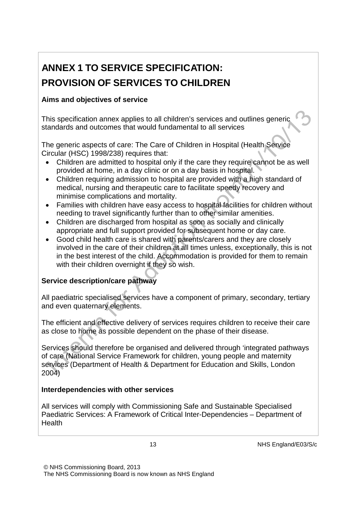# **ANNEX 1 TO SERVICE SPECIFICATION: PROVISION OF SERVICES TO CHILDREN**

# **Aims and objectives of service**

This specification annex applies to all children's services and outlines generic standards and outcomes that would fundamental to all services

The generic aspects of care: The Care of Children in Hospital (Health Service Circular (HSC) 1998/238) requires that:

- Children are admitted to hospital only if the care they require cannot be as well provided at home, in a day clinic or on a day basis in hospital.
- Children requiring admission to hospital are provided with a high standard of medical, nursing and therapeutic care to facilitate speedy recovery and minimise complications and mortality.
- Families with children have easy access to hospital facilities for children without needing to travel significantly further than to other similar amenities.
- Children are discharged from hospital as soon as socially and clinically appropriate and full support provided for subsequent home or day care.
- Good child health care is shared with parents/carers and they are closely involved in the care of their children at all times unless, exceptionally, this is not in the best interest of the child. Accommodation is provided for them to remain with their children overnight if they so wish.

# **Service description/care pathway**

All paediatric specialised services have a component of primary, secondary, tertiary and even quaternary elements.

The efficient and effective delivery of services requires children to receive their care as close to home as possible dependent on the phase of their disease.

Services should therefore be organised and delivered through 'integrated pathways of care (National Service Framework for children, young people and maternity services (Department of Health & Department for Education and Skills, London 2004)

# **Interdependencies with other services**

All services will comply with Commissioning Safe and Sustainable Specialised Paediatric Services: A Framework of Critical Inter-Dependencies – Department of **Health**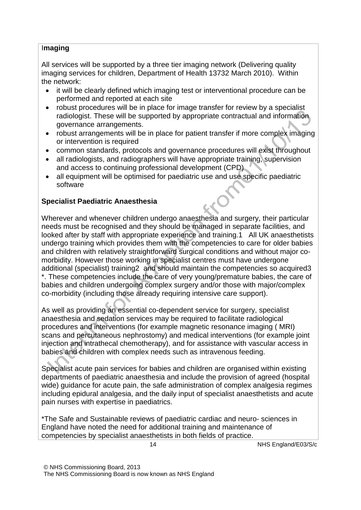#### I**maging**

All services will be supported by a three tier imaging network (Delivering quality imaging services for children, Department of Health 13732 March 2010). Within the network:

- it will be clearly defined which imaging test or interventional procedure can be performed and reported at each site
- robust procedures will be in place for image transfer for review by a specialist radiologist. These will be supported by appropriate contractual and information governance arrangements.
- robust arrangements will be in place for patient transfer if more complex imaging or intervention is required
- common standards, protocols and governance procedures will exist throughout
- all radiologists, and radiographers will have appropriate training, supervision and access to continuing professional development (CPD)
- all equipment will be optimised for paediatric use and use specific paediatric software

# **Specialist Paediatric Anaesthesia**

Wherever and whenever children undergo anaesthesia and surgery, their particular needs must be recognised and they should be managed in separate facilities, and looked after by staff with appropriate experience and training.1 All UK anaesthetists undergo training which provides them with the competencies to care for older babies and children with relatively straightforward surgical conditions and without major comorbidity. However those working in specialist centres must have undergone additional (specialist) training2 and should maintain the competencies so acquired3 \*. These competencies include the care of very young/premature babies, the care of babies and children undergoing complex surgery and/or those with major/complex co-morbidity (including those already requiring intensive care support).

As well as providing an essential co-dependent service for surgery, specialist anaesthesia and sedation services may be required to facilitate radiological procedures and interventions (for example magnetic resonance imaging ( MRI) scans and percutaneous nephrostomy) and medical interventions (for example joint injection and intrathecal chemotherapy), and for assistance with vascular access in babies and children with complex needs such as intravenous feeding.

Specialist acute pain services for babies and children are organised within existing departments of paediatric anaesthesia and include the provision of agreed (hospital wide) guidance for acute pain, the safe administration of complex analgesia regimes including epidural analgesia, and the daily input of specialist anaesthetists and acute pain nurses with expertise in paediatrics.

\*The Safe and Sustainable reviews of paediatric cardiac and neuro- sciences in England have noted the need for additional training and maintenance of competencies by specialist anaesthetists in both fields of practice.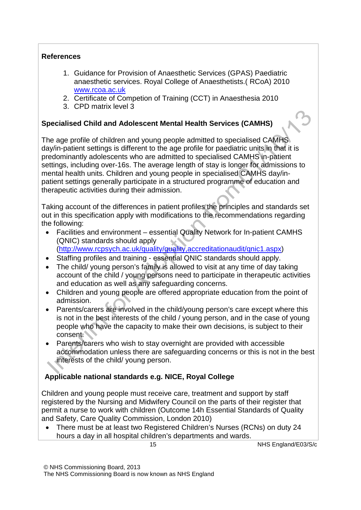#### **References**

- 1. Guidance for Provision of Anaesthetic Services (GPAS) Paediatric anaesthetic services. Royal College of Anaesthetists.( RCoA) 2010 [www.rcoa.ac.uk](http://www.rcoa.ac.uk/)
- 2. Certificate of Competion of Training (CCT) in Anaesthesia 2010
- 3. CPD matrix level 3

#### **Specialised Child and Adolescent Mental Health Services (CAMHS)**

The age profile of children and young people admitted to specialised CAMHS day/in-patient settings is different to the age profile for paediatric units in that it is predominantly adolescents who are admitted to specialised CAMHS in-patient settings, including over-16s. The average length of stay is longer for admissions to mental health units. Children and young people in specialised CAMHS day/inpatient settings generally participate in a structured programme of education and therapeutic activities during their admission.

Taking account of the differences in patient profiles the principles and standards set out in this specification apply with modifications to the recommendations regarding the following:

- Facilities and environment essential Quality Network for In-patient CAMHS (QNIC) standards should apply [\(http://www.rcpsych.ac.uk/quality/quality,accreditationaudit/qnic1.aspx\)](http://www.rcpsych.ac.uk/quality/quality%2Caccreditationaudit/qnic1.aspx)
- Staffing profiles and training essential QNIC standards should apply.
- The child/ young person's family is allowed to visit at any time of day taking account of the child / young persons need to participate in therapeutic activities and education as well as any safeguarding concerns.
- Children and young people are offered appropriate education from the point of admission.
- Parents/carers are involved in the child/young person's care except where this is not in the best interests of the child / young person, and in the case of young people who have the capacity to make their own decisions, is subject to their consent.
- Parents/carers who wish to stay overnight are provided with accessible accommodation unless there are safeguarding concerns or this is not in the best interests of the child/ young person.

#### **Applicable national standards e.g. NICE, Royal College**

Children and young people must receive care, treatment and support by staff registered by the Nursing and Midwifery Council on the parts of their register that permit a nurse to work with children (Outcome 14h Essential Standards of Quality and Safety, Care Quality Commission, London 2010)

• There must be at least two Registered Children's Nurses (RCNs) on duty 24 hours a day in all hospital children's departments and wards.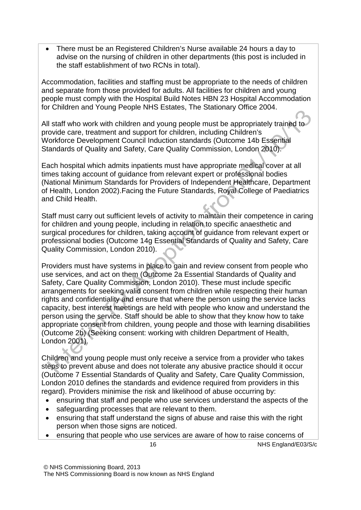• There must be an Registered Children's Nurse available 24 hours a day to advise on the nursing of children in other departments (this post is included in the staff establishment of two RCNs in total).

Accommodation, facilities and staffing must be appropriate to the needs of children and separate from those provided for adults. All facilities for children and young people must comply with the Hospital Build Notes HBN 23 Hospital Accommodation for Children and Young People NHS Estates, The Stationary Office 2004.

All staff who work with children and young people must be appropriately trained to provide care, treatment and support for children, including Children's Workforce Development Council Induction standards (Outcome 14b Essential Standards of Quality and Safety, Care Quality Commission, London 2010).

Each hospital which admits inpatients must have appropriate medical cover at all times taking account of guidance from relevant expert or professional bodies (National Minimum Standards for Providers of Independent Healthcare, Department of Health, London 2002).Facing the Future Standards, Royal College of Paediatrics and Child Health.

Staff must carry out sufficient levels of activity to maintain their competence in caring for children and young people, including in relation to specific anaesthetic and surgical procedures for children, taking account of guidance from relevant expert or professional bodies (Outcome 14g Essential Standards of Quality and Safety, Care Quality Commission, London 2010).

Providers must have systems in place to gain and review consent from people who use services, and act on them (Outcome 2a Essential Standards of Quality and Safety, Care Quality Commission, London 2010). These must include specific arrangements for seeking valid consent from children while respecting their human rights and confidentiality and ensure that where the person using the service lacks capacity, best interest meetings are held with people who know and understand the person using the service. Staff should be able to show that they know how to take appropriate consent from children, young people and those with learning disabilities (Outcome 2b) (Seeking consent: working with children Department of Health, London 2001).

Children and young people must only receive a service from a provider who takes steps to prevent abuse and does not tolerate any abusive practice should it occur (Outcome 7 Essential Standards of Quality and Safety, Care Quality Commission, London 2010 defines the standards and evidence required from providers in this regard). Providers minimise the risk and likelihood of abuse occurring by:

- ensuring that staff and people who use services understand the aspects of the
- safeguarding processes that are relevant to them.
- ensuring that staff understand the signs of abuse and raise this with the right person when those signs are noticed.
- ensuring that people who use services are aware of how to raise concerns of

16 NHS England/E03/S/c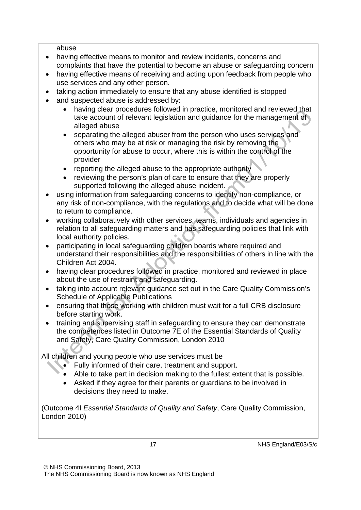abuse

- having effective means to monitor and review incidents, concerns and complaints that have the potential to become an abuse or safeguarding concern
- having effective means of receiving and acting upon feedback from people who use services and any other person.
- taking action immediately to ensure that any abuse identified is stopped
- and suspected abuse is addressed by:
	- having clear procedures followed in practice, monitored and reviewed that take account of relevant legislation and guidance for the management of alleged abuse
	- separating the alleged abuser from the person who uses services and others who may be at risk or managing the risk by removing the opportunity for abuse to occur, where this is within the control of the provider
	- reporting the alleged abuse to the appropriate authority
	- reviewing the person's plan of care to ensure that they are properly supported following the alleged abuse incident.
- using information from safeguarding concerns to identify non-compliance, or any risk of non-compliance, with the regulations and to decide what will be done to return to compliance.
- working collaboratively with other services, teams, individuals and agencies in relation to all safeguarding matters and has safeguarding policies that link with local authority policies.
- participating in local safeguarding children boards where required and understand their responsibilities and the responsibilities of others in line with the Children Act 2004.
- having clear procedures followed in practice, monitored and reviewed in place about the use of restraint and safeguarding.
- taking into account relevant guidance set out in the Care Quality Commission's Schedule of Applicable Publications
- ensuring that those working with children must wait for a full CRB disclosure before starting work.
- training and supervising staff in safeguarding to ensure they can demonstrate the competences listed in Outcome 7E of the Essential Standards of Quality and Safety, Care Quality Commission, London 2010

All children and young people who use services must be

- Fully informed of their care, treatment and support.
- Able to take part in decision making to the fullest extent that is possible.
- Asked if they agree for their parents or guardians to be involved in decisions they need to make.

(Outcome 4I *Essential Standards of Quality and Safety*, Care Quality Commission, London 2010)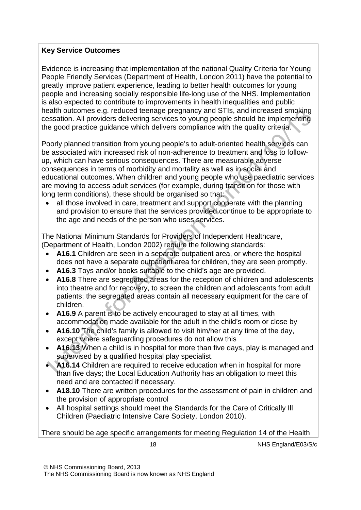#### **Key Service Outcomes**

Evidence is increasing that implementation of the national Quality Criteria for Young People Friendly Services (Department of Health, London 2011) have the potential to greatly improve patient experience, leading to better health outcomes for young people and increasing socially responsible life-long use of the NHS. Implementation is also expected to contribute to improvements in health inequalities and public health outcomes e.g. reduced teenage pregnancy and STIs, and increased smoking cessation. All providers delivering services to young people should be implementing the good practice guidance which delivers compliance with the quality criteria.

Poorly planned transition from young people's to adult-oriented health services can be associated with increased risk of non-adherence to treatment and loss to followup, which can have serious consequences. There are measurable adverse consequences in terms of morbidity and mortality as well as in social and educational outcomes. When children and young people who use paediatric services are moving to access adult services (for example, during transition for those with long term conditions), these should be organised so that:

• all those involved in care, treatment and support cooperate with the planning and provision to ensure that the services provided continue to be appropriate to the age and needs of the person who uses services.

The National Minimum Standards for Providers of Independent Healthcare, (Department of Health, London 2002) require the following standards:

- **A16.1** Children are seen in a separate outpatient area, or where the hospital does not have a separate outpatient area for children, they are seen promptly.
- **A16.3** Toys and/or books suitable to the child's age are provided.
- **A16.8** There are segregated areas for the reception of children and adolescents into theatre and for recovery, to screen the children and adolescents from adult patients; the segregated areas contain all necessary equipment for the care of children.
- **A16.9** A parent is to be actively encouraged to stay at all times, with accommodation made available for the adult in the child's room or close by
- **A16.10** The child's family is allowed to visit him/her at any time of the day, except where safeguarding procedures do not allow this
- **A16.13** When a child is in hospital for more than five days, play is managed and supervised by a qualified hospital play specialist.
- **A16.14** Children are required to receive education when in hospital for more than five days; the Local Education Authority has an obligation to meet this need and are contacted if necessary.
- **A18.10** There are written procedures for the assessment of pain in children and the provision of appropriate control
- All hospital settings should meet the Standards for the Care of Critically Ill Children (Paediatric Intensive Care Society, London 2010).

There should be age specific arrangements for meeting Regulation 14 of the Health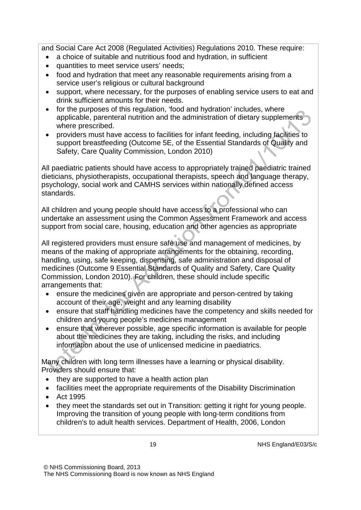and Social Care Act 2008 (Regulated Activities) Regulations 2010. These require:

- a choice of suitable and nutritious food and hydration, in sufficient
- quantities to meet service users' needs;
- food and hydration that meet any reasonable requirements arising from a service user's religious or cultural background
- support, where necessary, for the purposes of enabling service users to eat and drink sufficient amounts for their needs.
- for the purposes of this regulation, 'food and hydration' includes, where applicable, parenteral nutrition and the administration of dietary supplements where prescribed.
- providers must have access to facilities for infant feeding, including facilities to support breastfeeding (Outcome 5E, of the Essential Standards of Quality and Safety, Care Quality Commission, London 2010)

All paediatric patients should have access to appropriately trained paediatric trained dieticians, physiotherapists, occupational therapists, speech and language therapy, psychology, social work and CAMHS services within nationally defined access standards.

All children and young people should have access to a professional who can undertake an assessment using the Common Assessment Framework and access support from social care, housing, education and other agencies as appropriate

All registered providers must ensure safe use and management of medicines, by means of the making of appropriate arrangements for the obtaining, recording, handling, using, safe keeping, dispensing, safe administration and disposal of medicines (Outcome 9 Essential Standards of Quality and Safety, Care Quality Commission, London 2010). For children, these should include specific arrangements that:

- ensure the medicines given are appropriate and person-centred by taking account of their age, weight and any learning disability
- ensure that staff handling medicines have the competency and skills needed for children and young people's medicines management
- ensure that wherever possible, age specific information is available for people about the medicines they are taking, including the risks, and including information about the use of unlicensed medicine in paediatrics.

Many children with long term illnesses have a learning or physical disability. Providers should ensure that:

- they are supported to have a health action plan
- facilities meet the appropriate requirements of the Disability Discrimination
- Act 1995
- they meet the standards set out in Transition: getting it right for young people. Improving the transition of young people with long-term conditions from children's to adult health services. Department of Health, 2006, London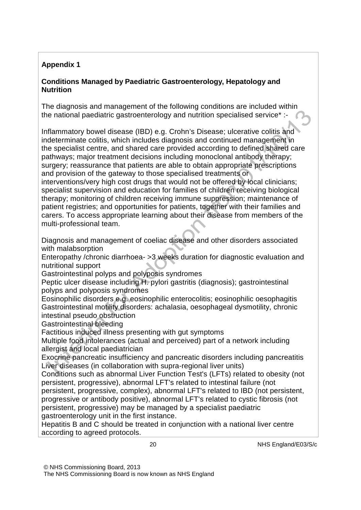#### **Appendix 1**

#### **Conditions Managed by Paediatric Gastroenterology, Hepatology and Nutrition**

The diagnosis and management of the following conditions are included within the national paediatric gastroenterology and nutrition specialised service\* :-

Inflammatory bowel disease (IBD) e.g. Crohn's Disease; ulcerative colitis and indeterminate colitis, which includes diagnosis and continued management in the specialist centre, and shared care provided according to defined shared care pathways; major treatment decisions including monoclonal antibody therapy; surgery; reassurance that patients are able to obtain appropriate prescriptions and provision of the gateway to those specialised treatments or

interventions/very high cost drugs that would not be offered by local clinicians; specialist supervision and education for families of children receiving biological therapy; monitoring of children receiving immune suppression; maintenance of patient registries; and opportunities for patients, together with their families and carers. To access appropriate learning about their disease from members of the multi-professional team.

Diagnosis and management of coeliac disease and other disorders associated with malabsorption

Enteropathy /chronic diarrhoea- >3 weeks duration for diagnostic evaluation and nutritional support

Gastrointestinal polyps and polyposis syndromes

Peptic ulcer disease including H. pylori gastritis (diagnosis); gastrointestinal polyps and polyposis syndromes

Eosinophilic disorders e.g. eosinophilic enterocolitis; eosinophilic oesophagitis Gastrointestinal motility disorders: achalasia, oesophageal dysmotility, chronic intestinal pseudo obstruction

Gastrointestinal bleeding

Factitious induced illness presenting with gut symptoms

Multiple food intolerances (actual and perceived) part of a network including allergist and local paediatrician

Exocrine pancreatic insufficiency and pancreatic disorders including pancreatitis Liver diseases (in collaboration with supra-regional liver units)

Conditions such as abnormal Liver Function Test's (LFTs) related to obesity (not persistent, progressive), abnormal LFT's related to intestinal failure (not

persistent, progressive, complex), abnormal LFT's related to IBD (not persistent, progressive or antibody positive), abnormal LFT's related to cystic fibrosis (not persistent, progressive) may be managed by a specialist paediatric

gastroenterology unit in the first instance.

Hepatitis B and C should be treated in conjunction with a national liver centre according to agreed protocols.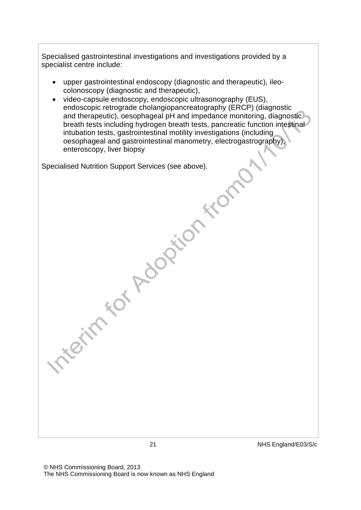Specialised gastrointestinal investigations and investigations provided by a specialist centre include:

- upper gastrointestinal endoscopy (diagnostic and therapeutic), ileocolonoscopy (diagnostic and therapeutic),
- video-capsule endoscopy, endoscopic ultrasonography (EUS), endoscopic retrograde cholangiopancreatography (ERCP) (diagnostic and therapeutic), oesophageal pH and impedance monitoring, diagnostic breath tests including hydrogen breath tests, pancreatic function intestinal intubation tests, gastrointestinal motility investigations (including oesophageal and gastrointestinal manometry, electrogastrography), enteroscopy, liver biopsy enteroscopy, liver biopsy

Specialised Nutrition Support Services (see above).

© NHS Commissioning Board, 2013 The NHS Commissioning Board is now known as NHS England